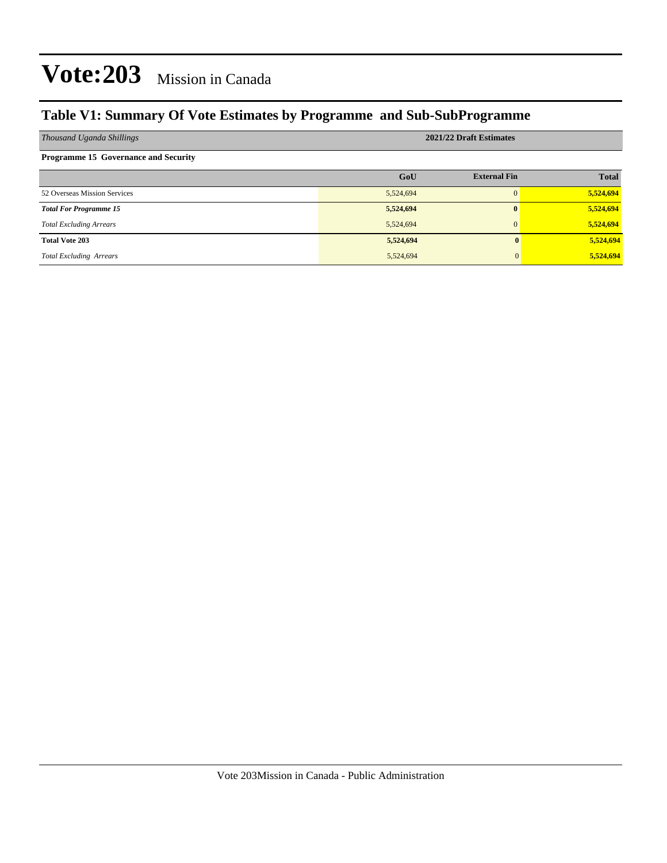#### **Table V1: Summary Of Vote Estimates by Programme and Sub-SubProgramme**

| Thousand Uganda Shillings                   |           | 2021/22 Draft Estimates |              |
|---------------------------------------------|-----------|-------------------------|--------------|
| <b>Programme 15 Governance and Security</b> |           |                         |              |
|                                             | GoU       | <b>External Fin</b>     | <b>Total</b> |
| 52 Overseas Mission Services                | 5,524,694 | $\Omega$                | 5,524,694    |
| <b>Total For Programme 15</b>               | 5,524,694 | $\mathbf{0}$            | 5,524,694    |
| <b>Total Excluding Arrears</b>              | 5,524,694 | $\Omega$                | 5,524,694    |
| <b>Total Vote 203</b>                       | 5,524,694 |                         | 5,524,694    |
| <b>Total Excluding Arrears</b>              | 5,524,694 |                         | 5,524,694    |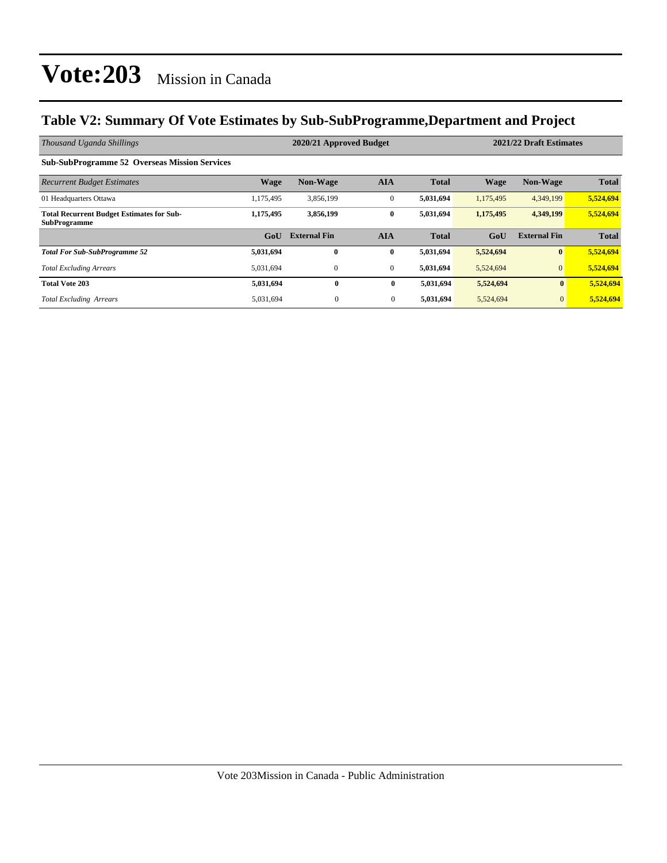#### **Table V2: Summary Of Vote Estimates by Sub-SubProgramme,Department and Project**

| Thousand Uganda Shillings                                               |                  | 2020/21 Approved Budget |                  |              |             | 2021/22 Draft Estimates |              |  |
|-------------------------------------------------------------------------|------------------|-------------------------|------------------|--------------|-------------|-------------------------|--------------|--|
| <b>Sub-SubProgramme 52 Overseas Mission Services</b>                    |                  |                         |                  |              |             |                         |              |  |
| <b>Recurrent Budget Estimates</b>                                       | <b>Wage</b>      | <b>Non-Wage</b>         | <b>AIA</b>       | <b>Total</b> | <b>Wage</b> | <b>Non-Wage</b>         | <b>Total</b> |  |
| 01 Headquarters Ottawa                                                  | 1,175,495        | 3,856,199               | $\mathbf{0}$     | 5,031,694    | 1,175,495   | 4,349,199               | 5,524,694    |  |
| <b>Total Recurrent Budget Estimates for Sub-</b><br><b>SubProgramme</b> | 1,175,495        | 3,856,199               | $\bf{0}$         | 5,031,694    | 1,175,495   | 4,349,199               | 5,524,694    |  |
|                                                                         | G <sub>o</sub> U | <b>External Fin</b>     | <b>AIA</b>       | <b>Total</b> | GoU         | <b>External Fin</b>     | <b>Total</b> |  |
| <b>Total For Sub-SubProgramme 52</b>                                    | 5,031,694        | $\mathbf{0}$            | $\bf{0}$         | 5,031,694    | 5,524,694   | $\mathbf{0}$            | 5,524,694    |  |
| <b>Total Excluding Arrears</b>                                          | 5,031,694        | $\mathbf{0}$            | $\boldsymbol{0}$ | 5,031,694    | 5,524,694   | $\mathbf{0}$            | 5,524,694    |  |
| <b>Total Vote 203</b>                                                   | 5,031,694        | $\bf{0}$                | $\bf{0}$         | 5,031,694    | 5,524,694   | $\bf{0}$                | 5,524,694    |  |
| <b>Total Excluding Arrears</b>                                          | 5,031,694        | $\overline{0}$          | $\overline{0}$   | 5,031,694    | 5,524,694   | $\overline{0}$          | 5,524,694    |  |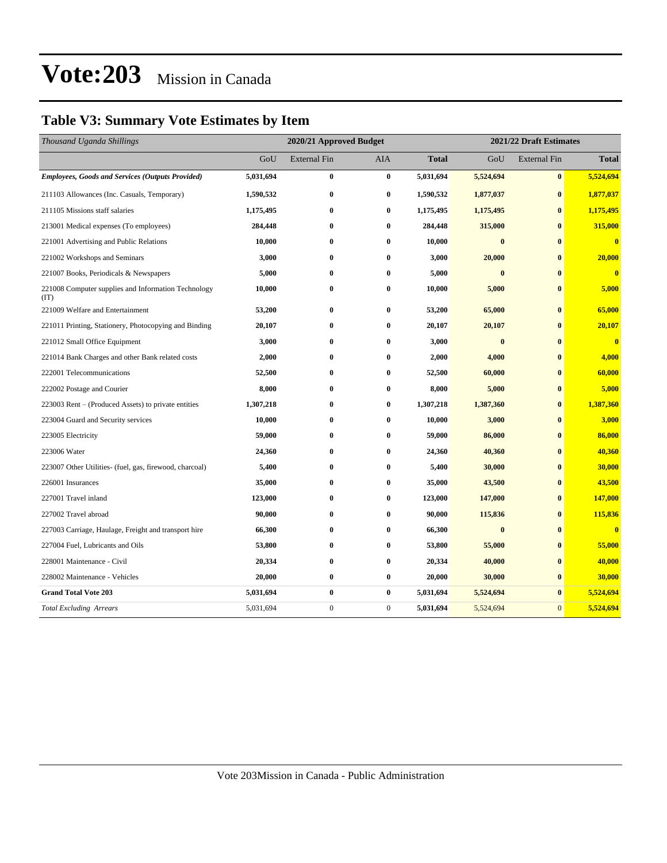#### **Table V3: Summary Vote Estimates by Item**

| Thousand Uganda Shillings                                   | 2020/21 Approved Budget |                     |                  | 2021/22 Draft Estimates |           |                     |                         |
|-------------------------------------------------------------|-------------------------|---------------------|------------------|-------------------------|-----------|---------------------|-------------------------|
|                                                             | GoU                     | <b>External Fin</b> | AIA              | <b>Total</b>            | GoU       | <b>External Fin</b> | <b>Total</b>            |
| <b>Employees, Goods and Services (Outputs Provided)</b>     | 5,031,694               | $\bf{0}$            | $\bf{0}$         | 5,031,694               | 5,524,694 | $\boldsymbol{0}$    | 5,524,694               |
| 211103 Allowances (Inc. Casuals, Temporary)                 | 1,590,532               | $\bf{0}$            | $\bf{0}$         | 1,590,532               | 1,877,037 | $\bf{0}$            | 1,877,037               |
| 211105 Missions staff salaries                              | 1,175,495               | $\bf{0}$            | $\bf{0}$         | 1,175,495               | 1,175,495 | $\bf{0}$            | 1,175,495               |
| 213001 Medical expenses (To employees)                      | 284,448                 | $\bf{0}$            | $\bf{0}$         | 284,448                 | 315,000   | $\bf{0}$            | 315,000                 |
| 221001 Advertising and Public Relations                     | 10,000                  | $\bf{0}$            | $\bf{0}$         | 10,000                  | $\bf{0}$  | $\bf{0}$            | $\overline{\mathbf{0}}$ |
| 221002 Workshops and Seminars                               | 3,000                   | $\bf{0}$            | $\bf{0}$         | 3,000                   | 20,000    | $\bf{0}$            | 20,000                  |
| 221007 Books, Periodicals & Newspapers                      | 5,000                   | $\bf{0}$            | $\bf{0}$         | 5,000                   | $\bf{0}$  | $\bf{0}$            | $\mathbf{0}$            |
| 221008 Computer supplies and Information Technology<br>(TT) | 10,000                  | $\bf{0}$            | $\bf{0}$         | 10,000                  | 5,000     | $\bf{0}$            | 5,000                   |
| 221009 Welfare and Entertainment                            | 53,200                  | $\bf{0}$            | $\bf{0}$         | 53,200                  | 65,000    | $\bf{0}$            | 65,000                  |
| 221011 Printing, Stationery, Photocopying and Binding       | 20,107                  | $\bf{0}$            | $\bf{0}$         | 20,107                  | 20,107    | $\bf{0}$            | 20,107                  |
| 221012 Small Office Equipment                               | 3,000                   | $\bf{0}$            | $\bf{0}$         | 3,000                   | $\bf{0}$  | $\bf{0}$            | $\overline{\mathbf{0}}$ |
| 221014 Bank Charges and other Bank related costs            | 2,000                   | $\bf{0}$            | $\bf{0}$         | 2,000                   | 4,000     | $\bf{0}$            | 4,000                   |
| 222001 Telecommunications                                   | 52,500                  | $\bf{0}$            | $\bf{0}$         | 52,500                  | 60,000    | $\mathbf{0}$        | 60,000                  |
| 222002 Postage and Courier                                  | 8,000                   | $\bf{0}$            | $\bf{0}$         | 8,000                   | 5,000     | $\bf{0}$            | 5,000                   |
| 223003 Rent – (Produced Assets) to private entities         | 1,307,218               | $\bf{0}$            | $\bf{0}$         | 1,307,218               | 1,387,360 | $\bf{0}$            | 1,387,360               |
| 223004 Guard and Security services                          | 10,000                  | $\bf{0}$            | $\bf{0}$         | 10,000                  | 3,000     | $\bf{0}$            | 3,000                   |
| 223005 Electricity                                          | 59,000                  | $\bf{0}$            | $\bf{0}$         | 59,000                  | 86,000    | $\bf{0}$            | 86,000                  |
| 223006 Water                                                | 24,360                  | $\bf{0}$            | $\bf{0}$         | 24,360                  | 40,360    | $\mathbf{0}$        | 40,360                  |
| 223007 Other Utilities- (fuel, gas, firewood, charcoal)     | 5,400                   | $\bf{0}$            | 0                | 5,400                   | 30,000    | $\bf{0}$            | 30,000                  |
| 226001 Insurances                                           | 35,000                  | $\bf{0}$            | $\bf{0}$         | 35,000                  | 43,500    | $\bf{0}$            | 43,500                  |
| 227001 Travel inland                                        | 123,000                 | $\bf{0}$            | $\bf{0}$         | 123,000                 | 147,000   | $\bf{0}$            | 147,000                 |
| 227002 Travel abroad                                        | 90,000                  | $\bf{0}$            | $\bf{0}$         | 90,000                  | 115,836   | $\bf{0}$            | 115,836                 |
| 227003 Carriage, Haulage, Freight and transport hire        | 66,300                  | $\bf{0}$            | $\bf{0}$         | 66,300                  | $\bf{0}$  | $\mathbf{0}$        | $\overline{\mathbf{0}}$ |
| 227004 Fuel, Lubricants and Oils                            | 53,800                  | $\bf{0}$            | $\bf{0}$         | 53,800                  | 55,000    | $\bf{0}$            | 55,000                  |
| 228001 Maintenance - Civil                                  | 20,334                  | $\bf{0}$            | $\bf{0}$         | 20,334                  | 40,000    | $\bf{0}$            | 40,000                  |
| 228002 Maintenance - Vehicles                               | 20,000                  | $\bf{0}$            | $\bf{0}$         | 20,000                  | 30,000    | $\bf{0}$            | 30,000                  |
| <b>Grand Total Vote 203</b>                                 | 5,031,694               | $\bf{0}$            | $\bf{0}$         | 5,031,694               | 5,524,694 | $\bf{0}$            | 5,524,694               |
| <b>Total Excluding Arrears</b>                              | 5,031,694               | $\boldsymbol{0}$    | $\boldsymbol{0}$ | 5,031,694               | 5,524,694 | $\mathbf{0}$        | 5,524,694               |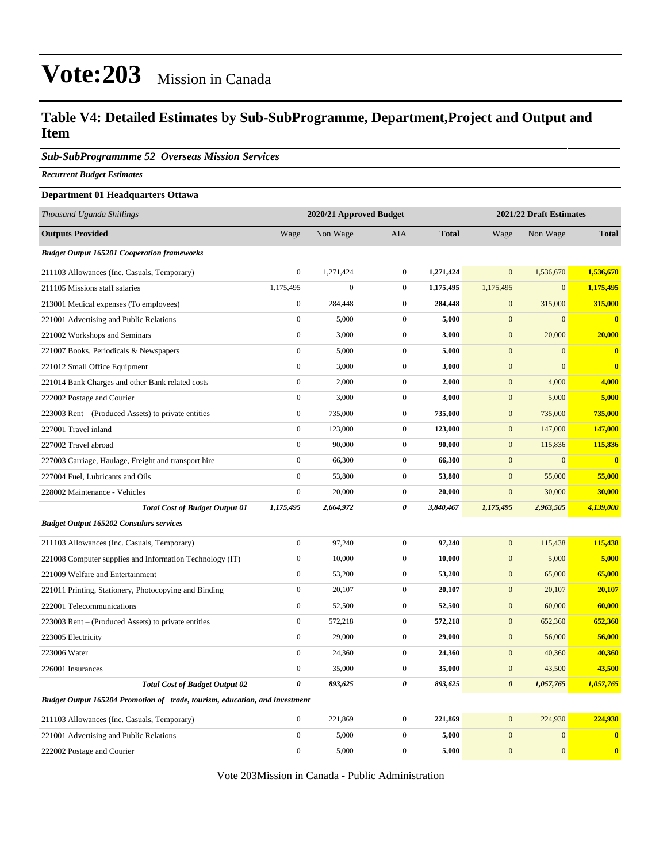#### **Table V4: Detailed Estimates by Sub-SubProgramme, Department,Project and Output and Item**

*Sub-SubProgrammme 52 Overseas Mission Services*

*Recurrent Budget Estimates*

#### **Department 01 Headquarters Ottawa**

| Thousand Uganda Shillings                                                   |                  | 2020/21 Approved Budget |                  |              |                       | 2021/22 Draft Estimates |              |
|-----------------------------------------------------------------------------|------------------|-------------------------|------------------|--------------|-----------------------|-------------------------|--------------|
| <b>Outputs Provided</b>                                                     | Wage             | Non Wage                | <b>AIA</b>       | <b>Total</b> | Wage                  | Non Wage                | <b>Total</b> |
| <b>Budget Output 165201 Cooperation frameworks</b>                          |                  |                         |                  |              |                       |                         |              |
| 211103 Allowances (Inc. Casuals, Temporary)                                 | $\mathbf{0}$     | 1,271,424               | $\boldsymbol{0}$ | 1,271,424    | $\overline{0}$        | 1,536,670               | 1,536,670    |
| 211105 Missions staff salaries                                              | 1,175,495        | $\overline{0}$          | $\overline{0}$   | 1,175,495    | 1,175,495             | $\overline{0}$          | 1,175,495    |
| 213001 Medical expenses (To employees)                                      | $\overline{0}$   | 284,448                 | $\overline{0}$   | 284,448      | $\overline{0}$        | 315,000                 | 315,000      |
| 221001 Advertising and Public Relations                                     | $\boldsymbol{0}$ | 5,000                   | $\mathbf{0}$     | 5,000        | $\mathbf{0}$          | $\Omega$                | $\bf{0}$     |
| 221002 Workshops and Seminars                                               | $\boldsymbol{0}$ | 3,000                   | $\mathbf{0}$     | 3,000        | $\mathbf{0}$          | 20,000                  | 20,000       |
| 221007 Books, Periodicals & Newspapers                                      | $\boldsymbol{0}$ | 5,000                   | $\mathbf{0}$     | 5,000        | $\mathbf{0}$          | $\overline{0}$          | $\bf{0}$     |
| 221012 Small Office Equipment                                               | $\boldsymbol{0}$ | 3,000                   | $\mathbf{0}$     | 3,000        | $\mathbf{0}$          | $\overline{0}$          | $\bf{0}$     |
| 221014 Bank Charges and other Bank related costs                            | $\boldsymbol{0}$ | 2,000                   | $\mathbf{0}$     | 2,000        | $\mathbf{0}$          | 4,000                   | 4,000        |
| 222002 Postage and Courier                                                  | $\boldsymbol{0}$ | 3,000                   | $\mathbf{0}$     | 3,000        | $\mathbf{0}$          | 5,000                   | 5,000        |
| 223003 Rent – (Produced Assets) to private entities                         | $\boldsymbol{0}$ | 735,000                 | $\mathbf{0}$     | 735,000      | $\boldsymbol{0}$      | 735,000                 | 735,000      |
| 227001 Travel inland                                                        | $\boldsymbol{0}$ | 123,000                 | $\mathbf 0$      | 123,000      | $\mathbf{0}$          | 147,000                 | 147,000      |
| 227002 Travel abroad                                                        | $\boldsymbol{0}$ | 90,000                  | $\boldsymbol{0}$ | 90,000       | $\mathbf{0}$          | 115,836                 | 115,836      |
| 227003 Carriage, Haulage, Freight and transport hire                        | $\boldsymbol{0}$ | 66,300                  | $\mathbf{0}$     | 66,300       | $\mathbf{0}$          | $\mathbf{0}$            | $\bf{0}$     |
| 227004 Fuel, Lubricants and Oils                                            | $\boldsymbol{0}$ | 53,800                  | $\mathbf{0}$     | 53,800       | $\mathbf{0}$          | 55,000                  | 55,000       |
| 228002 Maintenance - Vehicles                                               | $\boldsymbol{0}$ | 20,000                  | $\mathbf{0}$     | 20,000       | $\mathbf{0}$          | 30,000                  | 30,000       |
| <b>Total Cost of Budget Output 01</b>                                       | 1,175,495        | 2,664,972               | $\pmb{\theta}$   | 3,840,467    | 1,175,495             | 2,963,505               | 4,139,000    |
| <b>Budget Output 165202 Consulars services</b>                              |                  |                         |                  |              |                       |                         |              |
| 211103 Allowances (Inc. Casuals, Temporary)                                 | $\boldsymbol{0}$ | 97,240                  | $\mathbf{0}$     | 97,240       | $\mathbf{0}$          | 115,438                 | 115,438      |
| 221008 Computer supplies and Information Technology (IT)                    | $\boldsymbol{0}$ | 10,000                  | $\mathbf{0}$     | 10,000       | $\mathbf{0}$          | 5,000                   | 5,000        |
| 221009 Welfare and Entertainment                                            | $\boldsymbol{0}$ | 53,200                  | $\mathbf{0}$     | 53,200       | $\mathbf{0}$          | 65,000                  | 65,000       |
| 221011 Printing, Stationery, Photocopying and Binding                       | $\boldsymbol{0}$ | 20,107                  | $\mathbf{0}$     | 20,107       | $\mathbf{0}$          | 20,107                  | 20,107       |
| 222001 Telecommunications                                                   | $\boldsymbol{0}$ | 52,500                  | $\mathbf{0}$     | 52,500       | $\mathbf{0}$          | 60,000                  | 60,000       |
| 223003 Rent – (Produced Assets) to private entities                         | $\boldsymbol{0}$ | 572,218                 | $\boldsymbol{0}$ | 572,218      | $\boldsymbol{0}$      | 652,360                 | 652,360      |
| 223005 Electricity                                                          | $\boldsymbol{0}$ | 29,000                  | $\boldsymbol{0}$ | 29,000       | $\boldsymbol{0}$      | 56,000                  | 56,000       |
| 223006 Water                                                                | $\boldsymbol{0}$ | 24,360                  | $\mathbf{0}$     | 24,360       | $\mathbf{0}$          | 40,360                  | 40,360       |
| 226001 Insurances                                                           | $\boldsymbol{0}$ | 35,000                  | $\boldsymbol{0}$ | 35,000       | $\boldsymbol{0}$      | 43,500                  | 43,500       |
| <b>Total Cost of Budget Output 02</b>                                       | 0                | 893,625                 | $\pmb{\theta}$   | 893,625      | $\boldsymbol{\theta}$ | 1,057,765               | 1,057,765    |
| Budget Output 165204 Promotion of trade, tourism, education, and investment |                  |                         |                  |              |                       |                         |              |
| 211103 Allowances (Inc. Casuals, Temporary)                                 | $\boldsymbol{0}$ | 221,869                 | $\boldsymbol{0}$ | 221,869      | $\mathbf{0}$          | 224,930                 | 224,930      |
| 221001 Advertising and Public Relations                                     | $\boldsymbol{0}$ | 5,000                   | $\mathbf{0}$     | 5,000        | $\mathbf{0}$          | $\mathbf{0}$            | $\bf{0}$     |
| 222002 Postage and Courier                                                  | $\boldsymbol{0}$ | 5,000                   | $\mathbf{0}$     | 5,000        | $\mathbf{0}$          | $\overline{0}$          | $\bf{0}$     |

Vote 203Mission in Canada - Public Administration